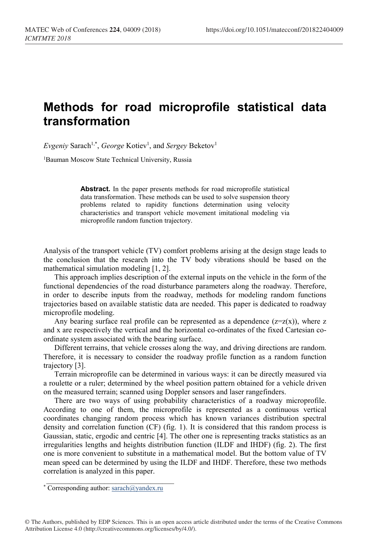# **Methods for road microprofile statistical data transformation**

 $Evgeniy$  Sarach<sup>1,\*</sup>, *George* Kotiev<sup>1</sup>, and *Sergey* Beketov<sup>1</sup>

<sup>1</sup>Bauman Moscow State Technical University, Russia

**Аbstract.** In the paper presents methods for road microprofile statistical data transformation. These methods can be used to solve suspension theory problems related to rapidity functions determination using velocity characteristics and transport vehicle movement imitational modeling via microprofile random function trajectory.

Analysis of the transport vehicle (TV) comfort problems arising at the design stage leads to the conclusion that the research into the TV body vibrations should be based on the mathematical simulation modeling [1, 2].

This approach implies description of the external inputs on the vehicle in the form of the functional dependencies of the road disturbance parameters along the roadway. Therefore, in order to describe inputs from the roadway, methods for modeling random functions trajectories based on available statistic data are needed. This paper is dedicated to roadway microprofile modeling.

Any bearing surface real profile can be represented as a dependence  $(z=z(x))$ , where z and x are respectively the vertical and the horizontal co-ordinates of the fixed Cartesian coordinate system associated with the bearing surface.

Different terrains, that vehicle crosses along the way, and driving directions are random. Therefore, it is necessary to consider the roadway profile function as a random function trajectory [3].

Terrain microprofile can be determined in various ways: it can be directly measured via a roulette or a ruler; determined by the wheel position pattern obtained for a vehicle driven on the measured terrain; scanned using Doppler sensors and laser rangefinders.

There are two ways of using probability characteristics of a roadway microprofile. According to one of them, the microprofile is represented as a continuous vertical coordinates changing random process which has known variances distribution spectral density and correlation function (CF) (fig. 1). It is considered that this random process is Gaussian, static, ergodic and centric [4]. The other one is representing tracks statistics as an irregularities lengths and heights distribution function (ILDF and IHDF) (fig. 2). The first one is more convenient to substitute in a mathematical model. But the bottom value of TV mean speed can be determined by using the ILDF and IHDF. Therefore, these two methods correlation is analyzed in this paper.

 $\mathcal{L}_\mathcal{L}$  , where  $\mathcal{L}_\mathcal{L}$  is the set of the set of the set of the set of the set of the set of the set of the set of the set of the set of the set of the set of the set of the set of the set of the set of the \* Corresponding author: sarach@yandex.ru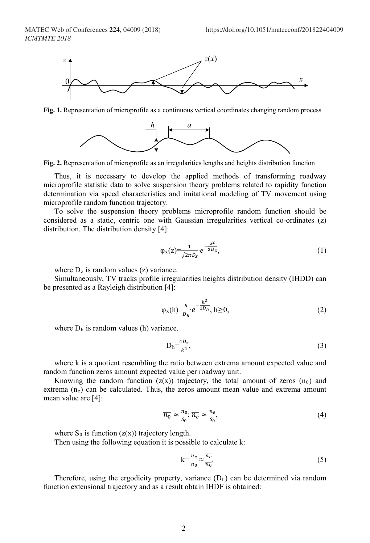

**Fig. 1.** Representation of microprofile as a continuous vertical coordinates changing random process



**Fig. 2.** Representation of microprofile as an irregularities lengths and heights distribution function

Thus, it is necessary to develop the applied methods of transforming roadway microprofile statistic data to solve suspension theory problems related to rapidity function determination via speed characteristics and imitational modeling of TV movement using microprofile random function trajectory.

To solve the suspension theory problems microprofile random function should be considered as a static, centric one with Gaussian irregularities vertical co-ordinates (z) distribution. The distribution density [4]:

$$
\varphi_{x}(z) = \frac{1}{\sqrt{2\pi D_{z}}} e^{-\frac{z^{2}}{2D_{z}}},
$$
\n(1)

where  $D_z$  is random values (z) variance.

Simultaneously, TV tracks profile irregularities heights distribution density (IHDD) can be presented as a Rayleigh distribution [4]:

$$
\varphi_x(h) = \frac{h}{D_h} e^{-\frac{h^2}{2D_h}}, h \ge 0,
$$
\n(2)

where  $D_h$  is random values (h) variance.

$$
D_h = \frac{4D_z}{k^2},\tag{3}
$$

where k is a quotient resembling the ratio between extrema amount expected value and random function zeros amount expected value per roadway unit.

Knowing the random function  $(z(x))$  trajectory, the total amount of zeros  $(n_0)$  and extrema  $(n_e)$  can be calculated. Thus, the zeros amount mean value and extrema amount mean value are [4]:

$$
\overline{n_0} \approx \frac{n_0}{S_0}; \overline{n_e} \approx \frac{n_e}{S_0},\tag{4}
$$

where  $S_0$  is function  $(z(x))$  trajectory length.

Then using the following equation it is possible to calculate k:

$$
k = \frac{n_e}{n_0} \approx \frac{\overline{n_e}}{\overline{n_0}}.\tag{5}
$$

Therefore, using the ergodicity property, variance  $(D<sub>h</sub>)$  can be determined via random function extensional trajectory and as a result obtain IHDF is obtained: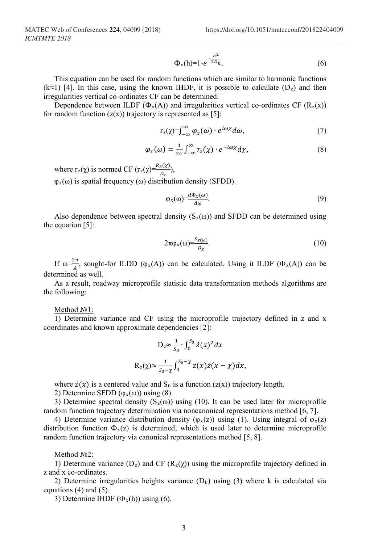$$
\Phi_{x}(h)=1-e^{-\frac{h^{2}}{2D_{h}}}.
$$
\n(6)

This equation can be used for random functions which are similar to harmonic functions (k≈1) [4]. In this case, using the known IHDF, it is possible to calculate  $(D_z)$  and then irregularities vertical co-ordinates CF can be determined.

Dependence between ILDF ( $\Phi_x(A)$ ) and irregularities vertical co-ordinates CF ( $R_z(x)$ ) for random function  $(z(x))$  trajectory is represented as [5]:

$$
r_{z}(\chi) = \int_{-\infty}^{\infty} \varphi_{x}(\omega) \cdot e^{i\omega \chi} d\omega, \tag{7}
$$

$$
\varphi_x(\omega) = \frac{1}{2\pi} \int_{-\infty}^{\infty} r_z(\chi) \cdot e^{-i\omega \chi} d\chi,\tag{8}
$$

where  $r_z(\chi)$  is normed CF  $(r_z(\chi) = \frac{R_z(\chi)}{D_z}),$  $\varphi_x(\omega)$  is spatial frequency ( $\omega$ ) distribution density (SFDD).

$$
\varphi_x(\omega) = \frac{d\Phi_x(\omega)}{d\omega}.\tag{9}
$$

Also dependence between spectral density  $(S_z(\omega))$  and SFDD can be determined using the equation [5]:

$$
2\pi\varphi_x(\omega)\frac{S_{z(\omega)}}{D_z}.\tag{10}
$$

If  $\omega = \frac{2\pi}{A}$ , sought-for ILDD ( $\varphi_x(A)$ ) can be calculated. Using it ILDF ( $\Phi_x(A)$ ) can be determined as well.

As a result, roadway microprofile statistic data transformation methods algorithms are the following:

#### Method №1:

1) Determine variance and CF using the microprofile trajectory defined in z and x coordinates and known approximate dependencies [2]:

$$
D_z \approx \frac{1}{s_0} \cdot \int_0^{S_0} \dot{z}(x)^2 dx
$$
  

$$
R_z(\chi) \approx \frac{1}{s_0 - x} \int_0^{S_0 - x} \dot{z}(x) \dot{z}(x - \chi) dx,
$$

where  $\dot{z}(x)$  is a centered value and S<sub>0</sub> is a function ( $z(x)$ ) trajectory length.

2) Determine SFDD  $(\varphi_x(\omega))$  using (8).

3) Determine spectral density ( $S_z(\omega)$ ) using (10). It can be used later for microprofile random function trajectory determination via noncanonical representations method [6, 7].

4) Determine variance distribution density ( $\varphi_x(z)$ ) using (1). Using integral of  $\varphi_x(z)$ distribution function  $\Phi_x(z)$  is determined, which is used later to determine microprofile random function trajectory via canonical representations method [5, 8].

#### Method №2:

1) Determine variance ( $D_z$ ) and CF ( $R_z(\chi)$ ) using the microprofile trajectory defined in z and x co-ordinates.

2) Determine irregularities heights variance  $(D<sub>h</sub>)$  using (3) where k is calculated via equations (4) and (5).

3) Determine IHDF  $(\Phi_x(h))$  using (6).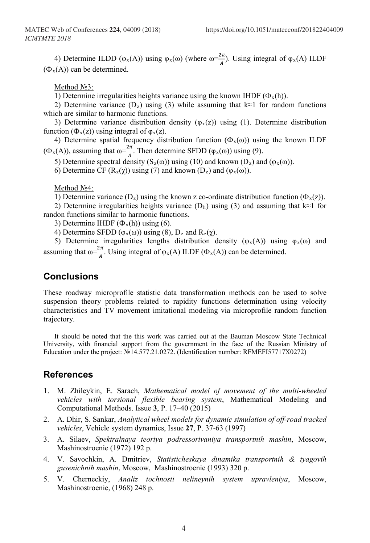4) Determine ILDD ( $\varphi_x(A)$ ) using  $\varphi_x(\omega)$  (where  $\omega = \frac{2\pi}{A}$ ). Using integral of  $\varphi_x(A)$  ILDF  $(\Phi_{x}(A))$  can be determined.

Method №3:

1) Determine irregularities heights variance using the known IHDF ( $\Phi_x(h)$ ).

2) Determine variance (D<sub>z</sub>) using (3) while assuming that k≈1 for random functions which are similar to harmonic functions.

3) Determine variance distribution density ( $\varphi_x(z)$ ) using (1). Determine distribution function ( $\Phi_x(z)$ ) using integral of  $\phi_x(z)$ .

4) Determine spatial frequency distribution function  $(\Phi_x(\omega))$  using the known ILDF  $(\Phi_{\mathbf{x}}(A))$ , assuming that  $\omega = \frac{2\pi}{4}$ . Then determine SFDD  $(\varphi_{\mathbf{x}}(\omega))$  using (9).

5) Determine spectral density (S<sub>z</sub>(ω)) using (10) and known (D<sub>z</sub>) and ( $\varphi_x(\omega)$ ).

6) Determine CF  $(R_z(\chi))$  using (7) and known  $(D_z)$  and  $(\varphi_x(\omega))$ .

Method №4:

1) Determine variance  $(D_z)$  using the known z co-ordinate distribution function  $(\Phi_x(z))$ .

2) Determine irregularities heights variance  $(D_h)$  using (3) and assuming that k≈1 for randon functions similar to harmonic functions.

3) Determine IHDF  $(\Phi_x(h))$  using (6).

4) Determine SFDD ( $\varphi_x(\omega)$ ) using (8),  $D_z$  and  $R_z(\gamma)$ .

5) Determine irregularities lengths distribution density ( $φ_x(A)$ ) using  $φ_x(ω)$  and assuming that  $\omega = \frac{2\pi}{A}$ . Using integral of  $\varphi_x(A)$  ILDF  $(\Phi_x(A))$  can be determined.

## **Conclusions**

These roadway microprofile statistic data transformation methods can be used to solve suspension theory problems related to rapidity functions determination using velocity characteristics and TV movement imitational modeling via microprofile random function trajectory.

It should be noted that the this work was carried out at the Bauman Moscow State Technical University, with financial support from the government in the face of the Russian Ministry of Education under the project: №14.577.21.0272. (Identification number: RFMEFI57717X0272)

### **References**

- 1. M. Zhileykin, Е. Sarach, *Mathematical model of movement of the multi-wheeled vehicles with torsional flexible bearing system*, Mathematical Modeling and Computational Methods. Issue **3**, P. 17–40 (2015)
- 2. A. Dhir, S. Sankar, *Analytical wheel models for dynamic simulation of off-road tracked vehicles*, Vehicle system dynamics, Issue **27**, P. 37-63 (1997)
- 3. A. Silaev, *Spektralnaya teoriya podressorivaniya transportnih mashin*, Moscow, Mashinostroenie (1972) 192 p.
- 4. V. Savochkin, A. Dmitriev, *Statisticheskaya dinamika transportnih & tyagovih gusenichnih mashin*, Moscow, Mashinostroenie (1993) 320 p.
- 5. V. Cherneckiy, *Analiz tochnosti nelineynih system upravleniya*, Moscow, Mashinostroenie, (1968) 248 p.